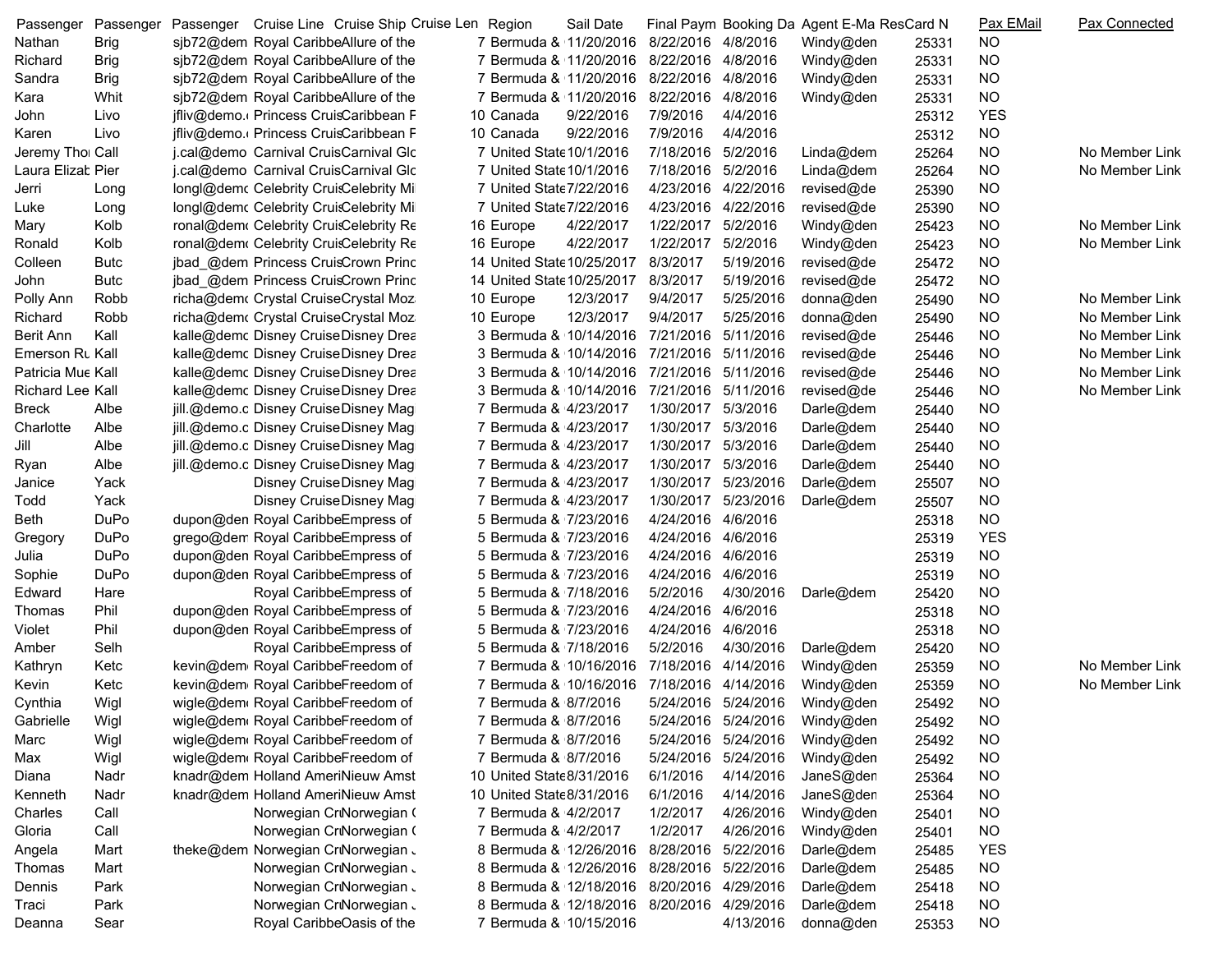| Passenger               | Passenger   | Passenger Cruise Line Cruise Ship Cruise Len Region |                                            | Sail Date |                     |           | Final Paym Booking Da Agent E-Ma ResCard N |       | Pax EMail  | <b>Pax Connected</b> |
|-------------------------|-------------|-----------------------------------------------------|--------------------------------------------|-----------|---------------------|-----------|--------------------------------------------|-------|------------|----------------------|
| Nathan                  | <b>Brig</b> | sjb72@dem Royal CaribbeAllure of the                | 7 Bermuda & 11/20/2016                     |           | 8/22/2016 4/8/2016  |           | Windy@den                                  | 25331 | <b>NO</b>  |                      |
| Richard                 | <b>Brig</b> | sjb72@dem Royal CaribbeAllure of the                | 7 Bermuda & 11/20/2016 8/22/2016 4/8/2016  |           |                     |           | Windy@den                                  | 25331 | <b>NO</b>  |                      |
| Sandra                  | <b>Brig</b> | sjb72@dem Royal CaribbeAllure of the                | 7 Bermuda & 11/20/2016 8/22/2016 4/8/2016  |           |                     |           | Windy@den                                  | 25331 | <b>NO</b>  |                      |
| Kara                    | Whit        | sjb72@dem Royal CaribbeAllure of the                | 7 Bermuda & 11/20/2016                     |           | 8/22/2016 4/8/2016  |           | Windy@den                                  | 25331 | <b>NO</b>  |                      |
| John                    | Livo        | jfliv@demo. Princess CruisCaribbean F               | 10 Canada                                  | 9/22/2016 | 7/9/2016            | 4/4/2016  |                                            | 25312 | <b>YES</b> |                      |
| Karen                   | Livo        | jfliv@demo. Princess CruisCaribbean F               | 10 Canada                                  | 9/22/2016 | 7/9/2016            | 4/4/2016  |                                            | 25312 | <b>NO</b>  |                      |
| Jeremy Tho Call         |             | j.cal@demo_Carnival CruisCarnival Glc               | 7 United State 10/1/2016                   |           | 7/18/2016 5/2/2016  |           | Linda@dem                                  | 25264 | <b>NO</b>  | No Member Link       |
| Laura Elizat Pier       |             | j.cal@demo Carnival CruisCarnival Glc               | 7 United State 10/1/2016                   |           | 7/18/2016 5/2/2016  |           | Linda@dem                                  | 25264 | <b>NO</b>  | No Member Link       |
| Jerri                   | Long        | longl@demc Celebrity CruisCelebrity Mil             | 7 United State 7/22/2016                   |           | 4/23/2016 4/22/2016 |           | revised@de                                 | 25390 | <b>NO</b>  |                      |
| Luke                    | Long        | longl@demc Celebrity CruisCelebrity Mil             | 7 United State 7/22/2016                   |           | 4/23/2016 4/22/2016 |           | revised@de                                 | 25390 | <b>NO</b>  |                      |
| Mary                    | Kolb        | ronal@dem Celebrity CruisCelebrity Re               | 16 Europe                                  | 4/22/2017 | 1/22/2017 5/2/2016  |           | Windy@den                                  | 25423 | <b>NO</b>  | No Member Link       |
| Ronald                  | Kolb        | ronal@dem Celebrity CruisCelebrity Re               | 16 Europe                                  | 4/22/2017 | 1/22/2017           | 5/2/2016  | Windy@den                                  | 25423 | <b>NO</b>  | No Member Link       |
| Colleen                 | Butc        | jbad_@dem Princess CruisCrown Princ                 | 14 United State 10/25/2017                 |           | 8/3/2017            | 5/19/2016 | revised@de                                 | 25472 | <b>NO</b>  |                      |
| John                    | Butc        | jbad_@dem Princess CruisCrown Princ                 | 14 United State 10/25/2017                 |           | 8/3/2017            | 5/19/2016 | revised@de                                 | 25472 | <b>NO</b>  |                      |
| Polly Ann               | Robb        | richa@dem Crystal CruiseCrystal Moz                 | 10 Europe                                  | 12/3/2017 | 9/4/2017            | 5/25/2016 | donna@den                                  | 25490 | <b>NO</b>  | No Member Link       |
| Richard                 | Robb        | richa@dem Crystal CruiseCrystal Moz                 | 10 Europe                                  | 12/3/2017 | 9/4/2017            | 5/25/2016 | donna@den                                  | 25490 | <b>NO</b>  | No Member Link       |
| <b>Berit Ann</b>        | Kall        | kalle@demc Disney CruiseDisney Drea                 | 3 Bermuda & 10/14/2016                     |           | 7/21/2016 5/11/2016 |           | revised@de                                 | 25446 | <b>NO</b>  | No Member Link       |
| Emerson Rt Kall         |             | kalle@demc Disney CruiseDisney Drea                 | 3 Bermuda & 10/14/2016                     |           | 7/21/2016 5/11/2016 |           | revised@de                                 | 25446 | <b>NO</b>  | No Member Link       |
| Patricia Mue Kall       |             | kalle@demc Disney CruiseDisney Drea                 | 3 Bermuda & 10/14/2016                     |           | 7/21/2016 5/11/2016 |           | revised@de                                 | 25446 | <b>NO</b>  | No Member Link       |
| <b>Richard Lee Kall</b> |             | kalle@demc Disney CruiseDisney Drea                 | 3 Bermuda & 10/14/2016                     |           | 7/21/2016 5/11/2016 |           | revised@de                                 | 25446 | <b>NO</b>  | No Member Link       |
| <b>Breck</b>            | Albe        | jill.@demo.c Disney CruiseDisney Magi               | 7 Bermuda & 4/23/2017                      |           | 1/30/2017 5/3/2016  |           | Darle@dem                                  | 25440 | <b>NO</b>  |                      |
| Charlotte               | Albe        | jill.@demo.c Disney CruiseDisney Magi               | 7 Bermuda & 4/23/2017                      |           | 1/30/2017 5/3/2016  |           | Darle@dem                                  | 25440 | <b>NO</b>  |                      |
| Jill                    | Albe        | jill.@demo.c Disney CruiseDisney Magi               | 7 Bermuda & 4/23/2017                      |           | 1/30/2017 5/3/2016  |           | Darle@dem                                  | 25440 | <b>NO</b>  |                      |
| Ryan                    | Albe        | jill.@demo.c Disney CruiseDisney Magi               | 7 Bermuda & 4/23/2017                      |           | 1/30/2017           | 5/3/2016  | Darle@dem                                  | 25440 | <b>NO</b>  |                      |
| Janice                  | Yack        | Disney CruiseDisney Magi                            | 7 Bermuda & 4/23/2017                      |           | 1/30/2017           | 5/23/2016 | Darle@dem                                  | 25507 | <b>NO</b>  |                      |
| Todd                    | Yack        | Disney CruiseDisney Magi                            | 7 Bermuda & 4/23/2017                      |           | 1/30/2017           | 5/23/2016 | Darle@dem                                  | 25507 | <b>NO</b>  |                      |
| Beth                    | DuPo        | dupon@den Royal CaribbeEmpress of                   | 5 Bermuda & 7/23/2016                      |           | 4/24/2016 4/6/2016  |           |                                            | 25318 | <b>NO</b>  |                      |
| Gregory                 | DuPo        | grego@dem Royal CaribbeEmpress of                   | 5 Bermuda & 7/23/2016                      |           | 4/24/2016 4/6/2016  |           |                                            | 25319 | <b>YES</b> |                      |
| Julia                   | DuPo        | dupon@den Royal CaribbeEmpress of                   | 5 Bermuda & 7/23/2016                      |           | 4/24/2016 4/6/2016  |           |                                            | 25319 | <b>NO</b>  |                      |
| Sophie                  | DuPo        | dupon@den Royal CaribbeEmpress of                   | 5 Bermuda & 7/23/2016                      |           | 4/24/2016 4/6/2016  |           |                                            | 25319 | <b>NO</b>  |                      |
| Edward                  | Hare        | Royal CaribbeEmpress of                             | 5 Bermuda & 7/18/2016                      |           | 5/2/2016            | 4/30/2016 | Darle@dem                                  | 25420 | <b>NO</b>  |                      |
| Thomas                  | Phil        | dupon@den Royal CaribbeEmpress of                   | 5 Bermuda & 7/23/2016                      |           | 4/24/2016 4/6/2016  |           |                                            | 25318 | <b>NO</b>  |                      |
| Violet                  | Phil        | dupon@den Royal CaribbeEmpress of                   | 5 Bermuda & 7/23/2016                      |           | 4/24/2016 4/6/2016  |           |                                            | 25318 | <b>NO</b>  |                      |
| Amber                   | Selh        | Royal CaribbeEmpress of                             | 5 Bermuda & 7/18/2016                      |           | 5/2/2016            | 4/30/2016 | Darle@dem                                  | 25420 | <b>NO</b>  |                      |
| Kathryn                 | Ketc        | kevin@dem Royal CaribbeFreedom of                   | 7 Bermuda & 10/16/2016                     |           | 7/18/2016 4/14/2016 |           | Windy@den                                  | 25359 | NO         | No Member Link       |
| Kevin                   | Ketc        | kevin@dem Royal CaribbeFreedom of                   | 7 Bermuda & 10/16/2016 7/18/2016 4/14/2016 |           |                     |           | Windy@den                                  | 25359 | NO         | No Member Link       |
| Cynthia                 | Wigl        | wigle@dem Royal CaribbeFreedom of                   | 7 Bermuda & 8/7/2016                       |           | 5/24/2016 5/24/2016 |           | Windy@den                                  | 25492 | <b>NO</b>  |                      |
| Gabrielle               | Wigl        | wigle@dem Royal CaribbeFreedom of                   | 7 Bermuda & 8/7/2016                       |           | 5/24/2016 5/24/2016 |           | Windy@den                                  | 25492 | <b>NO</b>  |                      |
| Marc                    | Wigl        | wigle@dem Royal CaribbeFreedom of                   | 7 Bermuda & 8/7/2016                       |           | 5/24/2016 5/24/2016 |           | Windy@den                                  | 25492 | <b>NO</b>  |                      |
| Max                     | Wigl        | wigle@dem Royal CaribbeFreedom of                   | 7 Bermuda & 8/7/2016                       |           | 5/24/2016 5/24/2016 |           | Windy@den                                  | 25492 | <b>NO</b>  |                      |
| Diana                   | Nadr        | knadr@dem Holland AmeriNieuw Amst                   | 10 United State8/31/2016                   |           | 6/1/2016            | 4/14/2016 | JaneS@den                                  | 25364 | <b>NO</b>  |                      |
| Kenneth                 | Nadr        | knadr@dem Holland AmeriNieuw Amst                   | 10 United State8/31/2016                   |           | 6/1/2016            | 4/14/2016 | JaneS@den                                  |       | <b>NO</b>  |                      |
|                         |             |                                                     | 7 Bermuda & 4/2/2017                       |           | 1/2/2017            | 4/26/2016 |                                            | 25364 |            |                      |
| Charles                 | Call        | Norwegian CriNorwegian (                            | 7 Bermuda & 4/2/2017                       |           |                     |           | Windy@den                                  | 25401 | <b>NO</b>  |                      |
| Gloria                  | Call        | Norwegian CriNorwegian (                            |                                            |           | 1/2/2017            | 4/26/2016 | Windy@den                                  | 25401 | <b>NO</b>  |                      |
| Angela                  | Mart        | theke@dem Norwegian CriNorwegian J                  | 8 Bermuda & 12/26/2016                     |           | 8/28/2016 5/22/2016 |           | Darle@dem                                  | 25485 | <b>YES</b> |                      |
| Thomas                  | Mart        | Norwegian CriNorwegian J                            | 8 Bermuda & 12/26/2016                     |           | 8/28/2016 5/22/2016 |           | Darle@dem                                  | 25485 | <b>NO</b>  |                      |
| Dennis                  | Park        | Norwegian CriNorwegian J                            | 8 Bermuda & 12/18/2016                     |           | 8/20/2016 4/29/2016 |           | Darle@dem                                  | 25418 | <b>NO</b>  |                      |
| Traci                   | Park        | Norwegian CriNorwegian J                            | 8 Bermuda & 12/18/2016                     |           | 8/20/2016 4/29/2016 |           | Darle@dem                                  | 25418 | <b>NO</b>  |                      |
| Deanna                  | Sear        | Royal CaribbeOasis of the                           | 7 Bermuda & 10/15/2016                     |           |                     | 4/13/2016 | donna@den                                  | 25353 | <b>NO</b>  |                      |